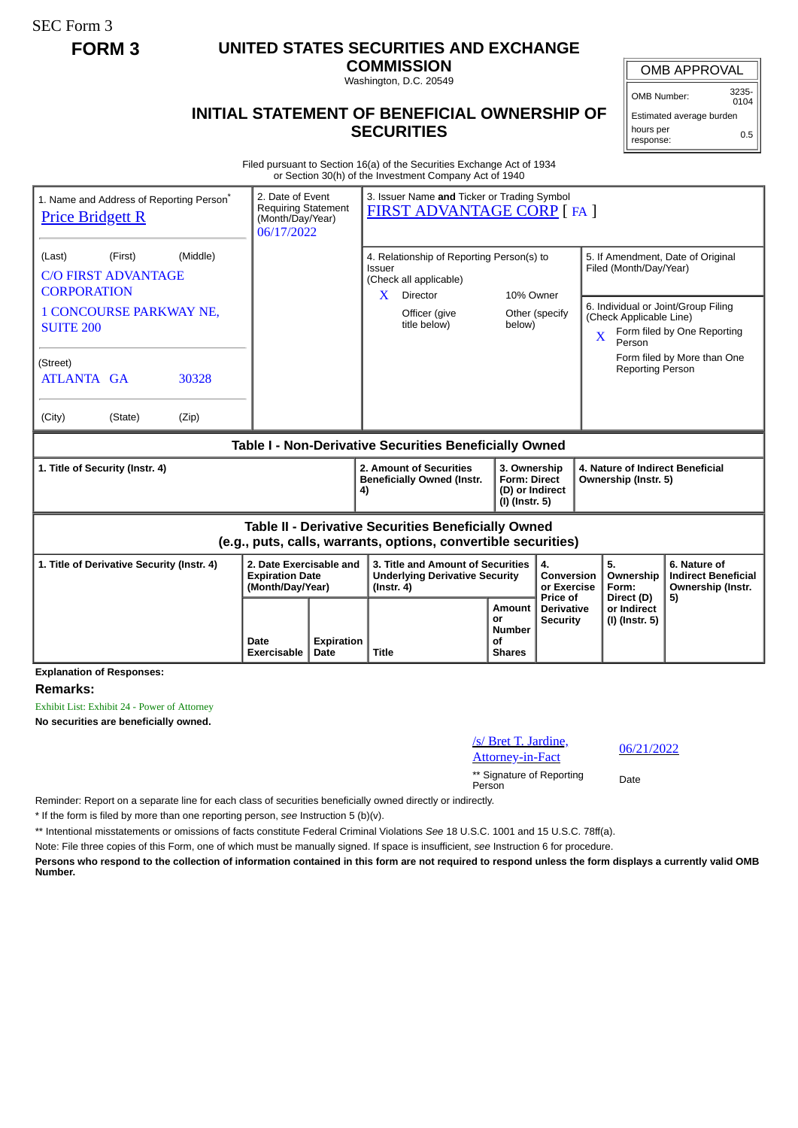SEC Form 3

## **FORM 3 UNITED STATES SECURITIES AND EXCHANGE**

**COMMISSION** Washington, D.C. 20549

## **INITIAL STATEMENT OF BENEFICIAL OWNERSHIP OF SECURITIES**

OMB APPROVAL

OMB Number: 3235-  $0104$ 

Estimated average burden hours per response: 0.5

Filed pursuant to Section 16(a) of the Securities Exchange Act of 1934 or Section 30(h) of the Investment Company Act of 1940

| 1. Name and Address of Reporting Person <sup>®</sup><br><b>Price Bridgett R</b>                                       | 2. Date of Event<br><b>Requiring Statement</b><br>(Month/Day/Year)<br>06/17/2022 |                    | 3. Issuer Name and Ticker or Trading Symbol<br><b>FIRST ADVANTAGE CORP [FA ]</b>                                       |                                                                                              |                                                    |                                                                               |                                                                       |  |
|-----------------------------------------------------------------------------------------------------------------------|----------------------------------------------------------------------------------|--------------------|------------------------------------------------------------------------------------------------------------------------|----------------------------------------------------------------------------------------------|----------------------------------------------------|-------------------------------------------------------------------------------|-----------------------------------------------------------------------|--|
| (Middle)<br>(First)<br>(Last)<br><b>C/O FIRST ADVANTAGE</b><br><b>CORPORATION</b>                                     |                                                                                  |                    | 4. Relationship of Reporting Person(s) to<br>Issuer<br>(Check all applicable)<br>$\mathbf{X}$<br>Director<br>10% Owner |                                                                                              |                                                    | 5. If Amendment, Date of Original<br>Filed (Month/Day/Year)                   |                                                                       |  |
| <b>1 CONCOURSE PARKWAY NE,</b><br><b>SUITE 200</b>                                                                    |                                                                                  |                    | Officer (give<br>title below)                                                                                          | below)                                                                                       | Other (specify                                     | 6. Individual or Joint/Group Filing<br>(Check Applicable Line)<br>X<br>Person | Form filed by One Reporting                                           |  |
| (Street)<br><b>ATLANTA GA</b><br>30328                                                                                |                                                                                  |                    |                                                                                                                        |                                                                                              |                                                    | <b>Reporting Person</b>                                                       | Form filed by More than One                                           |  |
| (City)<br>(State)<br>(Zip)                                                                                            |                                                                                  |                    |                                                                                                                        |                                                                                              |                                                    |                                                                               |                                                                       |  |
| Table I - Non-Derivative Securities Beneficially Owned                                                                |                                                                                  |                    |                                                                                                                        |                                                                                              |                                                    |                                                                               |                                                                       |  |
| 1. Title of Security (Instr. 4)                                                                                       |                                                                                  | 4)                 | 2. Amount of Securities<br><b>Beneficially Owned (Instr.</b>                                                           | 3. Ownership<br><b>Form: Direct</b><br>(D) or Indirect<br>(I) (Instr. 5)                     |                                                    | 4. Nature of Indirect Beneficial<br>Ownership (Instr. 5)                      |                                                                       |  |
| Table II - Derivative Securities Beneficially Owned<br>(e.g., puts, calls, warrants, options, convertible securities) |                                                                                  |                    |                                                                                                                        |                                                                                              |                                                    |                                                                               |                                                                       |  |
| 1. Title of Derivative Security (Instr. 4)                                                                            | 2. Date Exercisable and<br><b>Expiration Date</b><br>(Month/Day/Year)            |                    | 3. Title and Amount of Securities<br><b>Underlying Derivative Security</b><br>$($ lnstr. 4 $)$                         |                                                                                              | 4.<br>Conversion<br>or Exercise<br><b>Price of</b> | 5.<br>Ownership<br>Form:<br>Direct (D)                                        | 6. Nature of<br><b>Indirect Beneficial</b><br>Ownership (Instr.<br>5) |  |
|                                                                                                                       | Date<br>Exercisable                                                              | Expiration<br>Date | <b>Title</b>                                                                                                           | Amount<br><b>Derivative</b><br>or<br><b>Security</b><br><b>Number</b><br>οf<br><b>Shares</b> |                                                    | or Indirect<br>(I) (Instr. 5)                                                 |                                                                       |  |
| <b>Explanation of Responses:</b>                                                                                      |                                                                                  |                    |                                                                                                                        |                                                                                              |                                                    |                                                                               |                                                                       |  |

**Remarks:**

Exhibit List: Exhibit 24 - Power of Attorney

**No securities are beneficially owned.**

/s/ Bret T. Jardine, <u>s/ Diet 1. Jaluane, 2006/21/2022</u><br>Attorney-in-Fact

\*\* Signature of Reporting Person Date

Reminder: Report on a separate line for each class of securities beneficially owned directly or indirectly.

\* If the form is filed by more than one reporting person, *see* Instruction 5 (b)(v).

\*\* Intentional misstatements or omissions of facts constitute Federal Criminal Violations *See* 18 U.S.C. 1001 and 15 U.S.C. 78ff(a).

Note: File three copies of this Form, one of which must be manually signed. If space is insufficient, *see* Instruction 6 for procedure.

**Persons who respond to the collection of information contained in this form are not required to respond unless the form displays a currently valid OMB Number.**